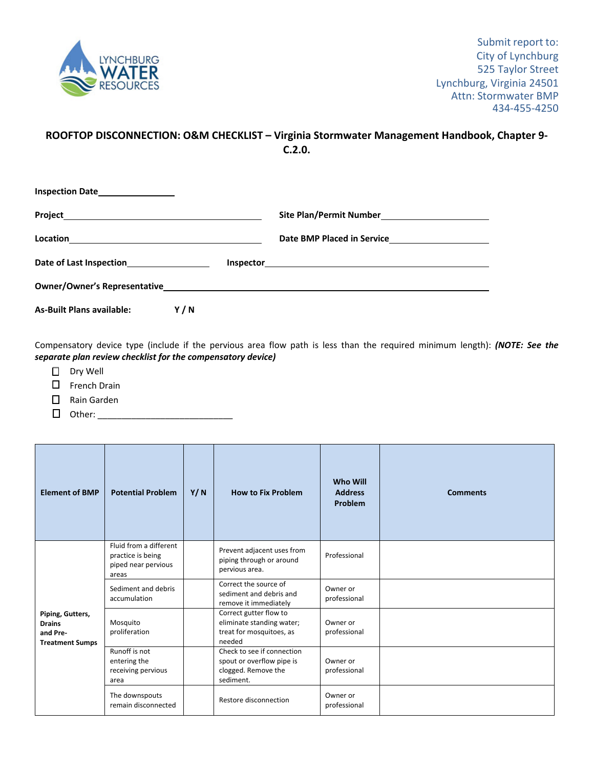

## **ROOFTOP DISCONNECTION: O&M CHECKLIST – Virginia Stormwater Management Handbook, Chapter 9‐ C.2.0.**

| Location<br><u> 1989 - Andrea Stadt Britain, amerikansk politiker (</u> |     |  |  |  |  |
|-------------------------------------------------------------------------|-----|--|--|--|--|
| Date of Last Inspection                                                 |     |  |  |  |  |
|                                                                         |     |  |  |  |  |
| <b>As-Built Plans available:</b>                                        | Y/N |  |  |  |  |

Compensatory device type (include if the pervious area flow path is less than the required minimum length): *(NOTE: See the separate plan review checklist for the compensatory device)*

- Dry Well
- French Drain
- Rain Garden
- Other: \_\_\_\_\_\_\_\_\_\_\_\_\_\_\_\_\_\_\_\_\_\_\_\_\_\_\_\_

| <b>Element of BMP</b>                                                   | <b>Potential Problem</b>                                                    | Y/N | <b>How to Fix Problem</b>                                                                   | <b>Who Will</b><br><b>Address</b><br>Problem | <b>Comments</b> |
|-------------------------------------------------------------------------|-----------------------------------------------------------------------------|-----|---------------------------------------------------------------------------------------------|----------------------------------------------|-----------------|
| Piping, Gutters,<br><b>Drains</b><br>and Pre-<br><b>Treatment Sumps</b> | Fluid from a different<br>practice is being<br>piped near pervious<br>areas |     | Prevent adjacent uses from<br>piping through or around<br>pervious area.                    | Professional                                 |                 |
|                                                                         | Sediment and debris<br>accumulation                                         |     | Correct the source of<br>sediment and debris and<br>remove it immediately                   | Owner or<br>professional                     |                 |
|                                                                         | Mosquito<br>proliferation                                                   |     | Correct gutter flow to<br>eliminate standing water;<br>treat for mosquitoes, as<br>needed   | Owner or<br>professional                     |                 |
|                                                                         | Runoff is not<br>entering the<br>receiving pervious<br>area                 |     | Check to see if connection<br>spout or overflow pipe is<br>clogged. Remove the<br>sediment. | Owner or<br>professional                     |                 |
|                                                                         | The downspouts<br>remain disconnected                                       |     | Restore disconnection                                                                       | Owner or<br>professional                     |                 |